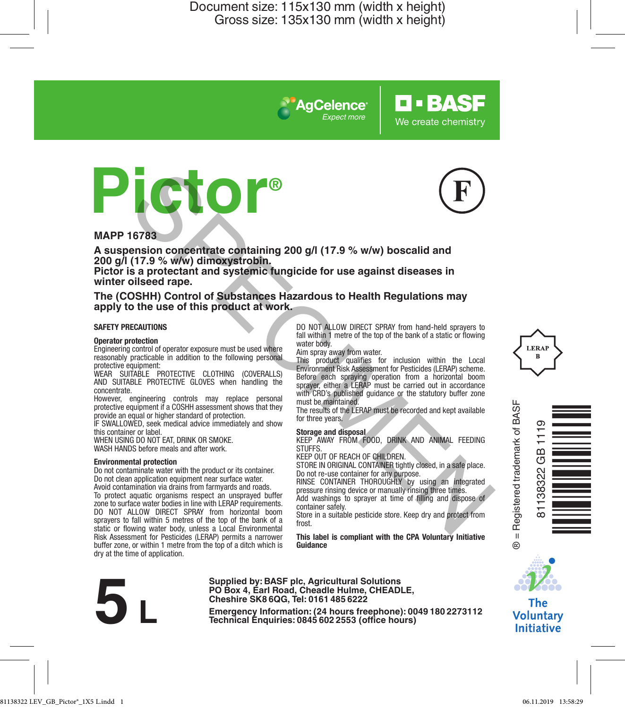*Expect more*

**AgCelence** 





**O-BASF** 

We create chemistry

### **MAPP 16783**

**A suspension concentrate containing 200 g/l (17.9 % w/w) boscalid and 200 g/l (17.9 % w/w) dimoxystrobin. Pictor is a protectant and systemic fungicide for use against diseases in** 

**winter oilseed rape.**

#### **The (COSHH) Control of Substances Hazardous to Health Regulations may apply to the use of this product at work.**

#### **SAFETY PRECAUTIONS**

#### **Operator protection**

Engineering control of operator exposure must be used where reasonably practicable in addition to the following personal protective equipment:

WEAR SUITABLE PROTECTIVE CLOTHING (COVERALLS) AND SUITABLE PROTECTIVE GLOVES when handling the concentrate.

However, engineering controls may replace personal protective equipment if a COSHH assessment shows that they provide an equal or higher standard of protection.

IF SWALLOWED, seek medical advice immediately and show this container or label.

WHEN USING DO NOT FAT, DRINK OR SMOKE. WASH HANDS before meals and after work.

#### **Environmental protection**

Do not contaminate water with the product or its container. Do not clean application equipment near surface water. Avoid contamination via drains from farmyards and roads. To protect aquatic organisms respect an unsprayed buffer zone to surface water bodies in line with LERAP requirements. DO NOT ALLOW DIRECT SPRAY from horizontal boom sprayers to fall within 5 metres of the top of the bank of a static or flowing water body, unless a Local Environmental Risk Assessment for Pesticides (LERAP) permits a narrower buffer zone, or within 1 metre from the top of a ditch which is dry at the time of application. THE STATE OF THE CONFIDENCE CONFIDENCE CONFIDENCE CONFIDENCE INTO A SUMMAL THE DIRECT SPEAK (SUPPRED TO REACT OF CHILDREN, 1990 AND ANNAL THE DIRECT SPEAK (SUPPRED TO REACT OF CHILDREN, 1990) AND ANNAL THE DIRECT SPEAK (SU

DO NOT ALLOW DIRECT SPRAY from hand-held sprayers to fall within 1 metre of the top of the bank of a static or flowing water body

Aim spray away from water.

This product qualifies for inclusion within the Local Environment Risk Assessment for Pesticides (LERAP) scheme. Before each spraying operation from a horizontal boom sprayer, either a LERAP must be carried out in accordance with CRD's published quidance or the statutory buffer zone must be maintained.

The results of the LERAP must be recorded and kept available for three years.

**Storage and disposal** KEEP AWAY FROM FOOD, DRINK AND ANIMAL FEEDING STUFFS.

KEEP OUT OF REACH OF CHILDREN.

STORE IN ORIGINAL CONTAINER tightly closed, in a safe place. Do not re-use container for any purpose.

RINSE CONTAINER THOROUGHLY by using an integrated pressure rinsing device or manually rinsing three times. Add washings to sprayer at time of filling and dispose of container safely.

Store in a suitable pesticide store. Keep dry and protect from frost

**This label is compliant with the CPA Voluntary Initiative Guidance**



**Supplied by: BASF plc, Agricultural Solutions PO Box 4, Earl Road, Cheadle Hulme, CHEADLE, Cheshire SK8 6QG, Tel: 0161 485 6222**

**Examples by Box 4, Earl Road, Cheadle Hulme, CHEADLE,**<br>Cheshire SK8 6QG, Tel: 0161485 6222<br>Emergency Information: (24 hours freephone): 0049 180 2273112<br>Technical Enquiries: 0845 602 2553 (office hours)







The **Voluntary Initiative**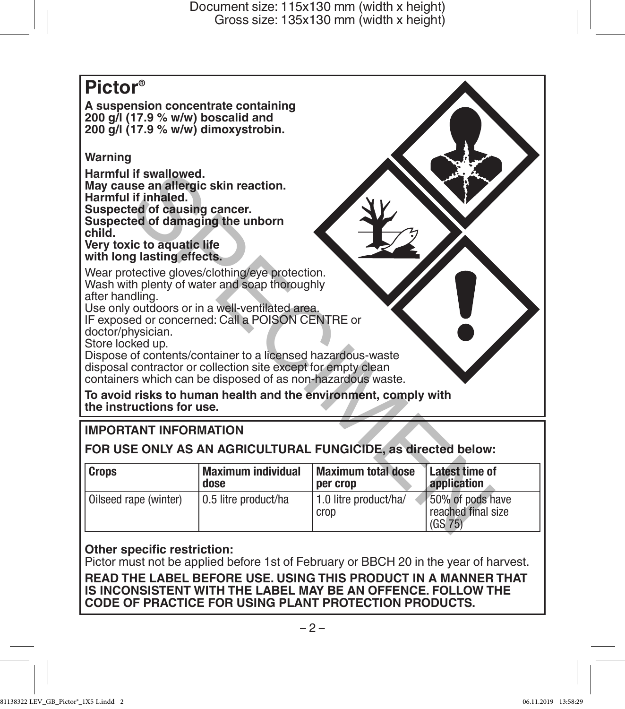# **Pictor® A suspension concentrate containing 200 g/l (17.9 % w/w) boscalid and 200 g/l (17.9 % w/w) dimoxystrobin. Warning Harmful if swallowed. May cause an allergic skin reaction. Harmful if inhaled. Suspected of causing cancer. Suspected of damaging the unborn child. Very toxic to aquatic life with long lasting effects.** Wear protective gloves/clothing/eye protection. Wash with plenty of water and soap thoroughly after handling. Use only outdoors or in a well-ventilated area. IF exposed or concerned: Call a POISON CENTRE or doctor/physician. Store locked up. Dispose of contents/container to a licensed hazardous-waste disposal contractor or collection site except for empty clean containers which can be disposed of as non-hazardous waste. **To avoid risks to human health and the environment, comply with the instructions for use.** If swallowed.<br>
See an allergic skin reaction.<br>
If inhaled.<br>
If inhaled.<br>
If inhaled.<br>
If inhaled.<br>
If inhaled.<br>
If inhaled.<br>
If inhaled.<br>
If inhaled.<br>
If inhaled.<br>
If inhaled.<br>
If inhaled.<br>
If inhaled.<br>
If inhaled.<br>
If inh

# **IMPORTANT INFORMATION**

# **FOR USE ONLY AS AN AGRICULTURAL FUNGICIDE, as directed below:**

| <b>Crops</b>          | <b>Maximum individual</b> | <b>Maximum total dose</b>     | Latest time of                                    |
|-----------------------|---------------------------|-------------------------------|---------------------------------------------------|
|                       | dose                      | per crop                      | application                                       |
| Oilseed rape (winter) | l 0.5 litre product/ha    | 1.0 litre product/ha/<br>crop | 50% of pods have<br>reached final size<br>(GS 75) |

## **Other specific restriction:**

Pictor must not be applied before 1st of February or BBCH 20 in the year of harvest.

**READ THE LABEL BEFORE USE. USING THIS PRODUCT IN A MANNER THAT IS INCONSISTENT WITH THE LABEL MAY BE AN OFFENCE. FOLLOW THE CODE OF PRACTICE FOR USING PLANT PROTECTION PRODUCTS.**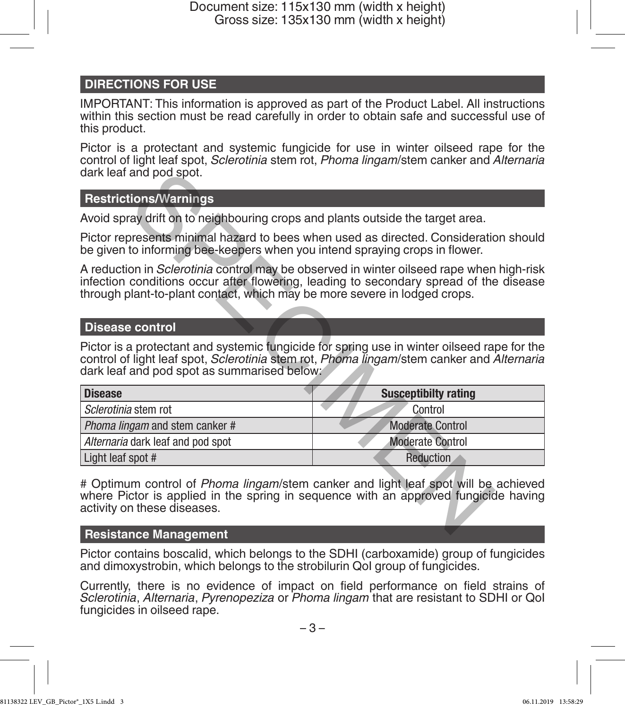# **DIRECTIONS FOR USE**

IMPORTANT: This information is approved as part of the Product Label. All instructions within this section must be read carefully in order to obtain safe and successful use of this product.

Pictor is a protectant and systemic fungicide for use in winter oilseed rape for the control of light leaf spot, *Sclerotinia* stem rot, *Phoma lingam*/stem canker and *Alternaria* dark leaf and pod spot.

## **Restrictions/Warnings**

## **Disease control**

| dark leaf and pod spot.                                                                                                                                                                                                                                                |                             |
|------------------------------------------------------------------------------------------------------------------------------------------------------------------------------------------------------------------------------------------------------------------------|-----------------------------|
| <b>Restrictions/Warnings</b>                                                                                                                                                                                                                                           |                             |
| Avoid spray drift on to neighbouring crops and plants outside the target area.                                                                                                                                                                                         |                             |
| Pictor represents minimal hazard to bees when used as directed. Consideration should<br>be given to informing bee-keepers when you intend spraying crops in flower.                                                                                                    |                             |
| A reduction in <i>Sclerotinia</i> control may be observed in winter oilseed rape when high-risk<br>infection conditions occur after flowering, leading to secondary spread of the disease<br>through plant-to-plant contact, which may be more severe in lodged crops. |                             |
| <b>Disease control</b>                                                                                                                                                                                                                                                 |                             |
| Pictor is a protectant and systemic fungicide for spring use in winter oilseed rape for the<br>control of light leaf spot, Sclerotinia stem rot, Phoma lingam/stem canker and Alternaria<br>dark leaf and pod spot as summarised below:                                |                             |
| <b>Disease</b>                                                                                                                                                                                                                                                         | <b>Susceptibilty rating</b> |
| Sclerotinia stem rot                                                                                                                                                                                                                                                   | Control                     |
| Phoma lingam and stem canker #                                                                                                                                                                                                                                         | <b>Moderate Control</b>     |
| Alternaria dark leaf and pod spot                                                                                                                                                                                                                                      | <b>Moderate Control</b>     |
| Light leaf spot #                                                                                                                                                                                                                                                      | Reduction                   |
| # Optimum control of <i>Phoma lingam</i> /stem canker and light leaf spot will be achieved<br>where Pictor is applied in the spring in sequence with an approved fungicide having<br>activity on these diseases.                                                       |                             |
| <b>Resistance Management</b>                                                                                                                                                                                                                                           |                             |

## **Resistance Management**

Pictor contains boscalid, which belongs to the SDHI (carboxamide) group of fungicides and dimoxystrobin, which belongs to the strobilurin QoI group of fungicides.

Currently, there is no evidence of impact on field performance on field strains of *Sclerotinia*, *Alternaria*, *Pyrenopeziza* or *Phoma lingam* that are resistant to SDHI or QoI fungicides in oilseed rape.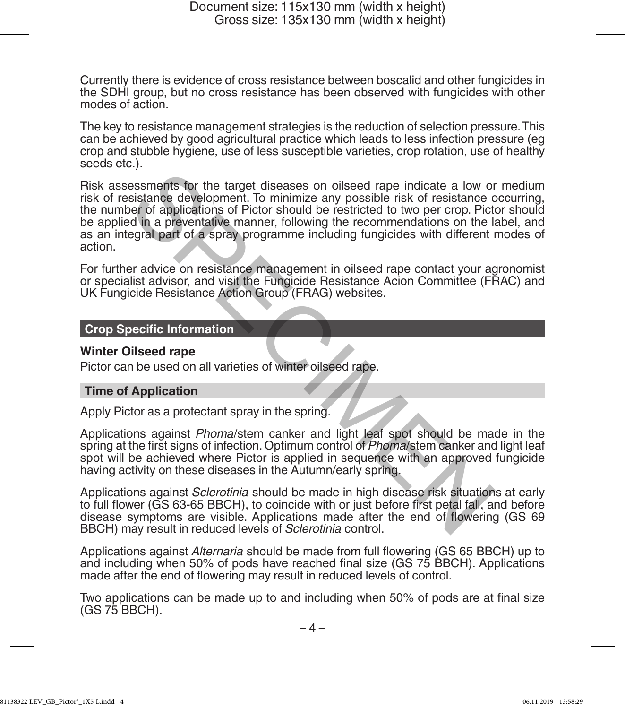Currently there is evidence of cross resistance between boscalid and other fungicides in the SDHI group, but no cross resistance has been observed with fungicides with other modes of action.

The key to resistance management strategies is the reduction of selection pressure. This can be achieved by good agricultural practice which leads to less infection pressure (eg crop and stubble hygiene, use of less susceptible varieties, crop rotation, use of healthy seeds etc.).

Risk assessments for the target diseases on oilseed rape indicate a low or medium risk of resistance development. To minimize any possible risk of resistance occurring, the number of applications of Pictor should be restricted to two per crop. Pictor should be applied in a preventative manner, following the recommendations on the label, and as an integral part of a spray programme including fungicides with different modes of action. essments for the target diseases on oilseed rape indicate a low or<br>sistance development. To minimize any possible risk of resistance<br>of d applications of Pictor should be restricted to two per crop. Pictor<br>ed in a preventa

For further advice on resistance management in oilseed rape contact your agronomist or specialist advisor, and visit the Fungicide Resistance Acion Committee (FRAC) and UK Fungicide Resistance Action Group (FRAG) websites.

## **Crop Specific Information**

## **Winter Oilseed rape**

Pictor can be used on all varieties of winter oilseed rape.

## **Time of Application**

Apply Pictor as a protectant spray in the spring.

Applications against *Phoma*/stem canker and light leaf spot should be made in the spring at the first signs of infection. Optimum control of *Phoma*/stem canker and light leaf spot will be achieved where Pictor is applied in sequence with an approved fungicide having activity on these diseases in the Autumn/early spring.

Applications against *Sclerotinia* should be made in high disease risk situations at early to full flower (GS 63-65 BBCH), to coincide with or just before first petal fall, and before disease symptoms are visible. Applications made after the end of flowering (GS 69 BBCH) may result in reduced levels of *Sclerotinia* control.

Applications against *Alternaria* should be made from full flowering (GS 65 BBCH) up to and including when 50% of pods have reached final size (GS 75 BBCH). Applications made after the end of flowering may result in reduced levels of control.

Two applications can be made up to and including when 50% of pods are at final size (GS 75 BBCH).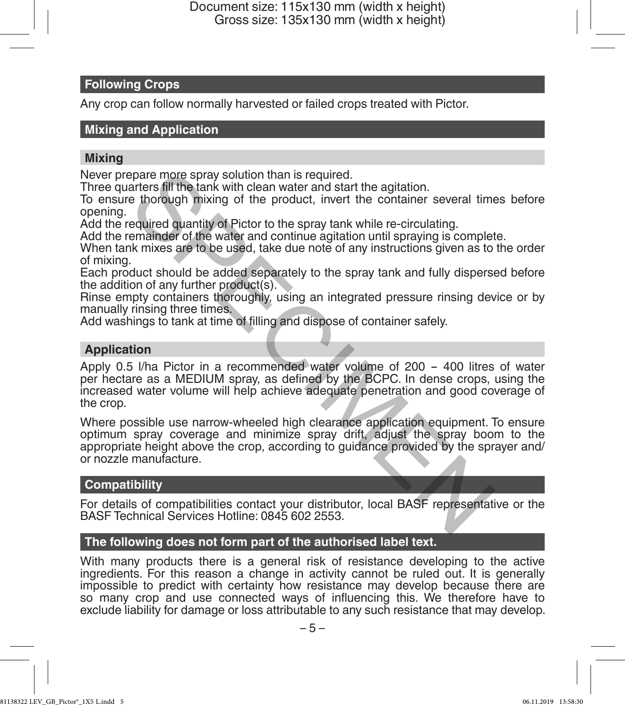# **Following Crops**

Any crop can follow normally harvested or failed crops treated with Pictor.

## **Mixing and Application**

## **Mixing**

Never prepare more spray solution than is required.

Three quarters fill the tank with clean water and start the agitation.

To ensure thorough mixing of the product, invert the container several times before opening.

Add the required quantity of Pictor to the spray tank while re-circulating.

Add the remainder of the water and continue agitation until spraying is complete.

When tank mixes are to be used, take due note of any instructions given as to the order of mixing.

Each product should be added separately to the spray tank and fully dispersed before the addition of any further product(s).

Rinse empty containers thoroughly, using an integrated pressure rinsing device or by manually rinsing three times.

Add washings to tank at time of filling and dispose of container safely.

## **Application**

Apply 0.5 l/ha Pictor in a recommended water volume of 200 - <sup>400</sup> litres of water per hectare as a MEDIUM spray, as defined by the BCPC. In dense crops, using the increased water volume will help achieve adequate penetration and good coverage of the crop. enare more spray solution than is required.<br>
arters fill the tank with clean water and start the agitation.<br>
are thorough mixing of the product, invert the container several time<br>
equired quantity of Pictor to the spray ta

Where possible use narrow-wheeled high clearance application equipment. To ensure optimum spray coverage and minimize spray drift, adjust the spray boom to the appropriate height above the crop, according to guidance provided by the sprayer and/ or nozzle manufacture.

## **Compatibility**

For details of compatibilities contact your distributor, local BASF representative or the BASF Technical Services Hotline: 0845 602 2553.

## **The following does not form part of the authorised label text.**

With many products there is a general risk of resistance developing to the active ingredients. For this reason a change in activity cannot be ruled out. It is generally impossible to predict with certainty how resistance may develop because there are so many crop and use connected ways of influencing this. We therefore have to exclude liability for damage or loss attributable to any such resistance that may develop.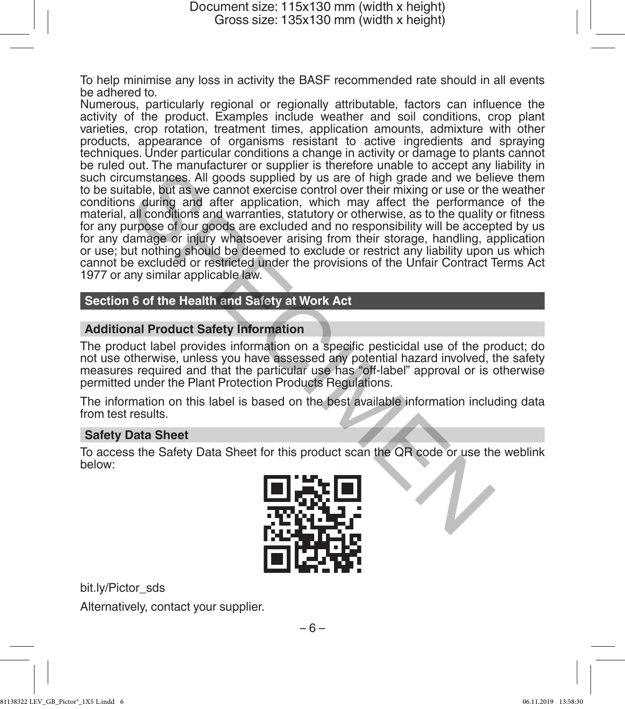To help minimise any loss in activity the BASF recommended rate should in all events be adhered to.

Numerous, particularly regional or regionally attributable, factors can influence the activity of the product. Examples include weather and soil conditions, crop plant varieties, crop rotation, treatment times, application amounts, admixture with other products, appearance of organisms resistant to active ingredients and spraying techniques. Under particular conditions a change in activity or damage to plants cannot be ruled out. The manufacturer or supplier is therefore unable to accept any liability in such circumstances. All goods supplied by us are of high grade and we believe them to be suitable, but as we cannot exercise control over their mixing or use or the weather conditions during and after application, which may affect the performance of the material, all conditions and warranties, statutory or otherwise, as to the quality or fitness for any purpose of our goods are excluded and no responsibility will be accepted by us for any damage or injury whatsoever arising from their storage, handling, application or use; but nothing should be deemed to exclude or restrict any liability upon us which cannot be excluded or restricted under the provisions of the Unfair Contract Terms Act 1977 or any similar applicable law. but the mean and text and specific positive and the particular and the particular states and a determining or use or thigh grade and we belist that is we cannot exercise control over their mixing or use or thigh and after

## **Section 6 of the Health and Safety at Work Act**

## **Additional Product Safety Information**

The product label provides information on a specific pesticidal use of the product; do not use otherwise, unless you have assessed any potential hazard involved, the safety measures required and that the particular use has "off-label" approval or is otherwise permitted under the Plant Protection Products Regulations.

The information on this label is based on the best available information including data from test results.

## **Safety Data Sheet**

To access the Safety Data Sheet for this product scan the QR code or use the weblink below:



bit.ly/Pictor\_sds Alternatively, contact your supplier.